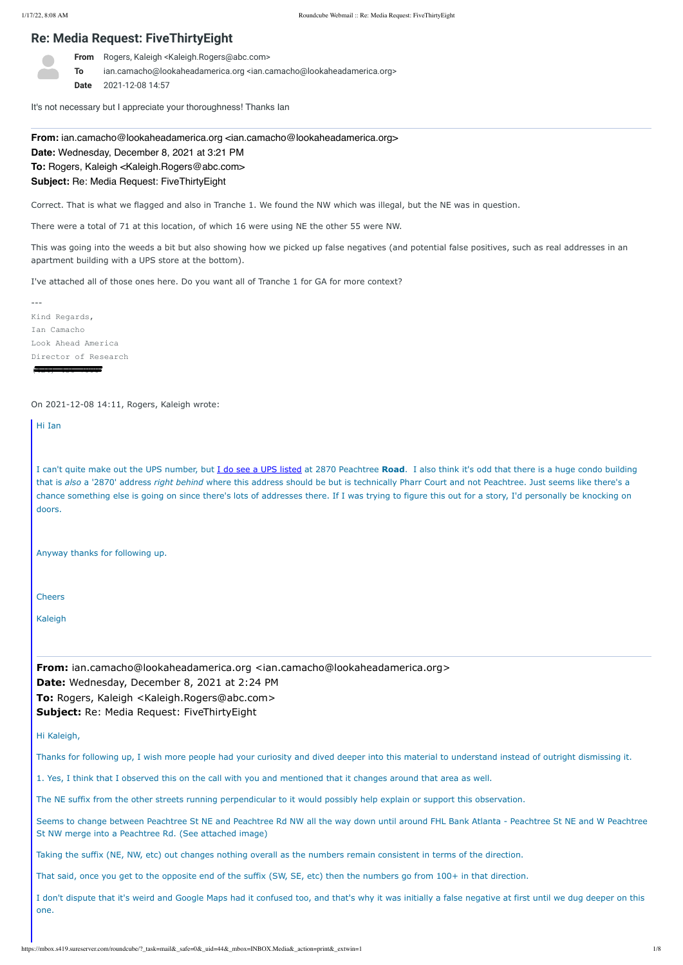# **Re: Media Request: FiveThirtyEight**

**From** Rogers, Kaleigh <Kaleigh.Rogers@abc.com>

**To** ian.camacho@lookaheadamerica.org <ian.camacho@lookaheadamerica.org> **Date** 2021-12-08 14:57

**From:** ian.camacho@lookaheadamerica.org <ian.camacho@lookaheadamerica.org> **Date:** Wednesday, December 8, 2021 at 3:21 PM **To:** Rogers, Kaleigh <Kaleigh.Rogers@abc.com> **Subject:** Re: Media Request: FiveThirtyEight

It's not necessary but I appreciate your thoroughness! Thanks Ian

Correct. That is what we flagged and also in Tranche 1. We found the NW which was illegal, but the NE was in question.

There were a total of 71 at this location, of which 16 were using NE the other 55 were NW.

This was going into the weeds a bit but also showing how we picked up false negatives (and potential false positives, such as real addresses in an apartment building with a UPS store at the bottom).

**From:** ian.camacho@lookaheadamerica.org <ian.camacho@lookaheadamerica.org> **Date:** Wednesday, December 8, 2021 at 2:24 PM **To:** Rogers, Kaleigh <Kaleigh.Rogers@abc.com> **Subject:** Re: Media Request: FiveThirtyEight

I've attached all of those ones here. Do you want all of Tranche 1 for GA for more context?

--- Kind Regards, Ian Camacho Look Ahead America Director of Research (424) 436-7990

On 2021-12-08 14:11, Rogers, Kaleigh wrote:

Hi Ian

I can't quite make out the UPS number, but [I do see a UPS listed](https://nam04.safelinks.protection.outlook.com/?url=https%3A%2F%2Flocations.theupsstore.com%2Fga%2Fatlanta%2F2870-peachtree-rd&data=04%7C01%7CKaleigh.Rogers%40abc.com%7C68c44ff4765f49cbb86308d9ba885607%7C56b731a8a2ac4c32bf6b616810e913c6%7C1%7C0%7C637745916998251543%7CUnknown%7CTWFpbGZsb3d8eyJWIjoiMC4wLjAwMDAiLCJQIjoiV2luMzIiLCJBTiI6Ik1haWwiLCJXVCI6Mn0%3D%7C3000&sdata=c2kdVwAsN3Q0H2kuk%2Fmi7FENQRlZBByRzhXutE8%2BLpw%3D&reserved=0) at 2870 Peachtree **Road**. I also think it's odd that there is a huge condo building that is *also* a '2870' address *right behind* where this address should be but is technically Pharr Court and not Peachtree. Just seems like there's a chance something else is going on since there's lots of addresses there. If I was trying to figure this out for a story, I'd personally be knocking on doors.

Anyway thanks for following up.

**Cheers** 

Kaleigh

## Hi Kaleigh,

Thanks for following up, I wish more people had your curiosity and dived deeper into this material to understand instead of outright dismissing it.

1. Yes, I think that I observed this on the call with you and mentioned that it changes around that area as well.

The NE suffix from the other streets running perpendicular to it would possibly help explain or support this observation.

Seems to change between Peachtree St NE and Peachtree Rd NW all the way down until around FHL Bank Atlanta - Peachtree St NE and W Peachtree St NW merge into a Peachtree Rd. (See attached image)

Taking the suffix (NE, NW, etc) out changes nothing overall as the numbers remain consistent in terms of the direction.

That said, once you get to the opposite end of the suffix (SW, SE, etc) then the numbers go from 100+ in that direction.

I don't dispute that it's weird and Google Maps had it confused too, and that's why it was initially a false negative at first until we dug deeper on this one.

https://mbox.s419.sureserver.com/roundcube/?\_task=mail&\_safe=0&\_uid=44&\_mbox=INBOX.Media&\_action=print&\_extwin=1 1/8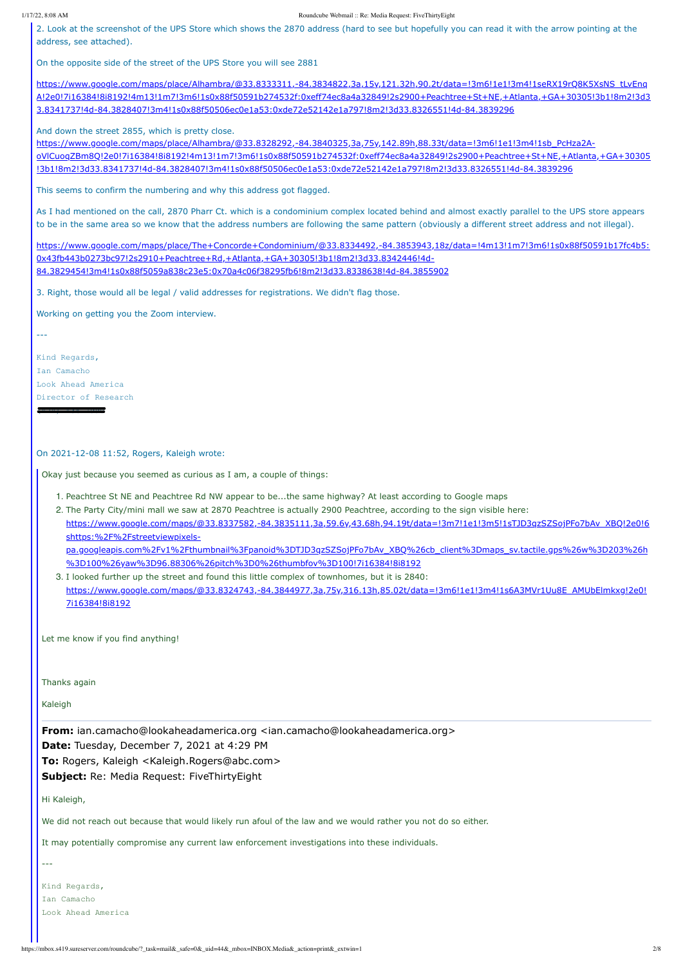#### 1/17/22, 8:08 AM Roundcube Webmail :: Re: Media Request: FiveThirtyEight

https://mbox.s419.sureserver.com/roundcube/?\_task=mail&\_safe=0&\_uid=44&\_mbox=INBOX.Media&\_action=print&\_extwin=1 2/8

2. Look at the screenshot of the UPS Store which shows the 2870 address (hard to see but hopefully you can read it with the arrow pointing at the address, see attached).

https://www.google.com/maps/place/Alhambra/@33.8333311,-84.3834822,3a,15y,121.32h,90.2t/data=!3m6!1e1!3m4!1seRX19rQ8K5XsNS\_tLvEng [A!2e0!7i16384!8i8192!4m13!1m7!3m6!1s0x88f50591b274532f:0xeff74ec8a4a32849!2s2900+Peachtree+St+NE,+Atlanta,+GA+30305!3b1!8m2!3d3](https://nam04.safelinks.protection.outlook.com/?url=https%3A%2F%2Fwww.google.com%2Fmaps%2Fplace%2FAlhambra%2F%4033.8333311%2C-84.3834822%2C3a%2C15y%2C121.32h%2C90.2t%2Fdata%3D!3m6!1e1!3m4!1seRX19rQ8K5XsNS_tLvEnqA!2e0!7i16384!8i8192!4m13!1m7!3m6!1s0x88f50591b274532f%3A0xeff74ec8a4a32849!2s2900%2BPeachtree%2BSt%2BNE%2C%2BAtlanta%2C%2BGA%2B30305!3b1!8m2!3d33.8341737!4d-84.3828407!3m4!1s0x88f50506ec0e1a53%3A0xde72e52142e1a797!8m2!3d33.8326551!4d-84.3839296&data=04%7C01%7CKaleigh.Rogers%40abc.com%7C68c44ff4765f49cbb86308d9ba885607%7C56b731a8a2ac4c32bf6b616810e913c6%7C1%7C0%7C637745916998261499%7CUnknown%7CTWFpbGZsb3d8eyJWIjoiMC4wLjAwMDAiLCJQIjoiV2luMzIiLCJBTiI6Ik1haWwiLCJXVCI6Mn0%3D%7C3000&sdata=UGvRUbto2z1F1anLtP%2BRauS2TuUaCKUoO68qefNFOm0%3D&reserved=0) 3.8341737!4d-84.3828407!3m4!1s0x88f50506ec0e1a53:0xde72e52142e1a797!8m2!3d33.8326551!4d-84.3839296

On the opposite side of the street of the UPS Store you will see 2881

And down the street 2855, which is pretty close.

https://www.google.com/maps/place/Alhambra/@33.8328292,-84.3840325,3a,75y,142.89h,88.33t/data=!3m6!1e1!3m4!1sb\_PcHza2A[oVlCuoqZBm8Q!2e0!7i16384!8i8192!4m13!1m7!3m6!1s0x88f50591b274532f:0xeff74ec8a4a32849!2s2900+Peachtree+St+NE,+Atlanta,+GA+30305](https://nam04.safelinks.protection.outlook.com/?url=https%3A%2F%2Fwww.google.com%2Fmaps%2Fplace%2FAlhambra%2F%4033.8328292%2C-84.3840325%2C3a%2C75y%2C142.89h%2C88.33t%2Fdata%3D!3m6!1e1!3m4!1sb_PcHza2A-oVlCuoqZBm8Q!2e0!7i16384!8i8192!4m13!1m7!3m6!1s0x88f50591b274532f%3A0xeff74ec8a4a32849!2s2900%2BPeachtree%2BSt%2BNE%2C%2BAtlanta%2C%2BGA%2B30305!3b1!8m2!3d33.8341737!4d-84.3828407!3m4!1s0x88f50506ec0e1a53%3A0xde72e52142e1a797!8m2!3d33.8326551!4d-84.3839296&data=04%7C01%7CKaleigh.Rogers%40abc.com%7C68c44ff4765f49cbb86308d9ba885607%7C56b731a8a2ac4c32bf6b616810e913c6%7C1%7C0%7C637745916998261499%7CUnknown%7CTWFpbGZsb3d8eyJWIjoiMC4wLjAwMDAiLCJQIjoiV2luMzIiLCJBTiI6Ik1haWwiLCJXVCI6Mn0%3D%7C3000&sdata=NdYn7lHnI55vEqtKY37G2rkKKToOxoeRlXBsQ91Oxxs%3D&reserved=0) !3b1!8m2!3d33.8341737!4d-84.3828407!3m4!1s0x88f50506ec0e1a53:0xde72e52142e1a797!8m2!3d33.8326551!4d-84.3839296

This seems to confirm the numbering and why this address got flagged.

pa.googleapis.com%2Fv1%2Fthumbnail%3Fpanoid%3DTJD3qzSZSojPFo7bAv\_XBQ%26cb\_client%3Dmaps\_sv.tactile.gps%26w%3D203%26h %3D100%26yaw%3D96.88306%26pitch%3D0%26thumbfov%3D100!7i16384!8i8192

As I had mentioned on the call, 2870 Pharr Ct. which is a condominium complex located behind and almost exactly parallel to the UPS store appears to be in the same area so we know that the address numbers are following the same pattern (obviously a different street address and not illegal).

[https://www.google.com/maps/place/The+Concorde+Condominium/@33.8334492,-84.3853943,18z/data=!4m13!1m7!3m6!1s0x88f50591b17fc4b5:](https://nam04.safelinks.protection.outlook.com/?url=https%3A%2F%2Fwww.google.com%2Fmaps%2Fplace%2FThe%2BConcorde%2BCondominium%2F%4033.8334492%2C-84.3853943%2C18z%2Fdata%3D!4m13!1m7!3m6!1s0x88f50591b17fc4b5%3A0x43fb443b0273bc97!2s2910%2BPeachtree%2BRd%2C%2BAtlanta%2C%2BGA%2B30305!3b1!8m2!3d33.8342446!4d-84.3829454!3m4!1s0x88f5059a838c23e5%3A0x70a4c06f38295fb6!8m2!3d33.8338638!4d-84.3855902&data=04%7C01%7CKaleigh.Rogers%40abc.com%7C68c44ff4765f49cbb86308d9ba885607%7C56b731a8a2ac4c32bf6b616810e913c6%7C1%7C0%7C637745916998271451%7CUnknown%7CTWFpbGZsb3d8eyJWIjoiMC4wLjAwMDAiLCJQIjoiV2luMzIiLCJBTiI6Ik1haWwiLCJXVCI6Mn0%3D%7C3000&sdata=kr5ReVnPoiJVYDatzASH7lHhtUf7fitV3vH%2BKNMmdrE%3D&reserved=0) 0x43fb443b0273bc97!2s2910+Peachtree+Rd,+Atlanta,+GA+30305!3b1!8m2!3d33.8342446!4d-84.3829454!3m4!1s0x88f5059a838c23e5:0x70a4c06f38295fb6!8m2!3d33.8338638!4d-84.3855902

3. Right, those would all be legal / valid addresses for registrations. We didn't flag those.

Working on getting you the Zoom interview.

---

Kind Regards, Ian Camacho Look Ahead America Director of Research

(424) 436-7990

On 2021-12-08 11:52, Rogers, Kaleigh wrote:

Okay just because you seemed as curious as I am, a couple of things:

1. Peachtree St NE and Peachtree Rd NW appear to be...the same highway? At least according to Google maps

2. The Party City/mini mall we saw at 2870 Peachtree is actually 2900 Peachtree, according to the sign visible here: [https://www.google.com/maps/@33.8337582,-84.3835111,3a,59.6y,43.68h,94.19t/data=!3m7!1e1!3m5!1sTJD3qzSZSojPFo7bAv\\_XBQ!2e0!6](https://nam04.safelinks.protection.outlook.com/?url=https%3A%2F%2Fwww.google.com%2Fmaps%2F%4033.8337582%2C-84.3835111%2C3a%2C59.6y%2C43.68h%2C94.19t%2Fdata%3D!3m7!1e1!3m5!1sTJD3qzSZSojPFo7bAv_XBQ!2e0!6shttps%3A%252F%252Fstreetviewpixels-pa.googleapis.com%252Fv1%252Fthumbnail%253Fpanoid%253DTJD3qzSZSojPFo7bAv_XBQ%2526cb_client%253Dmaps_sv.tactile.gps%2526w%253D203%2526h%253D100%2526yaw%253D96.88306%2526pitch%253D0%2526thumbfov%253D100!7i16384!8i8192&data=04%7C01%7CKaleigh.Rogers%40abc.com%7C68c44ff4765f49cbb86308d9ba885607%7C56b731a8a2ac4c32bf6b616810e913c6%7C1%7C0%7C637745916998271451%7CUnknown%7CTWFpbGZsb3d8eyJWIjoiMC4wLjAwMDAiLCJQIjoiV2luMzIiLCJBTiI6Ik1haWwiLCJXVCI6Mn0%3D%7C3000&sdata=R5zCoYGh2RsCBB5dS2JzH0Jfp7aJgK83lhSvjXNI%2Fpg%3D&reserved=0) shttps:%2F%2Fstreetviewpixels-

3. I looked further up the street and found this little complex of townhomes, but it is 2840: [https://www.google.com/maps/@33.8324743,-84.3844977,3a,75y,316.13h,85.02t/data=!3m6!1e1!3m4!1s6A3MVr1Uu8E\\_AMUbElmkxg!2e0!](https://nam04.safelinks.protection.outlook.com/?url=https%3A%2F%2Fwww.google.com%2Fmaps%2F%4033.8324743%2C-84.3844977%2C3a%2C75y%2C316.13h%2C85.02t%2Fdata%3D!3m6!1e1!3m4!1s6A3MVr1Uu8E_AMUbElmkxg!2e0!7i16384!8i8192&data=04%7C01%7CKaleigh.Rogers%40abc.com%7C68c44ff4765f49cbb86308d9ba885607%7C56b731a8a2ac4c32bf6b616810e913c6%7C1%7C0%7C637745916998281407%7CUnknown%7CTWFpbGZsb3d8eyJWIjoiMC4wLjAwMDAiLCJQIjoiV2luMzIiLCJBTiI6Ik1haWwiLCJXVCI6Mn0%3D%7C3000&sdata=vtweAO1CUySLmqySmPvvijVmtMXw5Zu4G%2FCkldDikSI%3D&reserved=0) 7i16384!8i8192

Let me know if you find anything!

Thanks again

Kaleigh

**From:** ian.camacho@lookaheadamerica.org <ian.camacho@lookaheadamerica.org>

**Date:** Tuesday, December 7, 2021 at 4:29 PM

**To:** Rogers, Kaleigh <Kaleigh.Rogers@abc.com>

**Subject:** Re: Media Request: FiveThirtyEight

Hi Kaleigh,

We did not reach out because that would likely run afoul of the law and we would rather you not do so either.

It may potentially compromise any current law enforcement investigations into these individuals.

---

Kind Regards,

Ian Camacho

Look Ahead America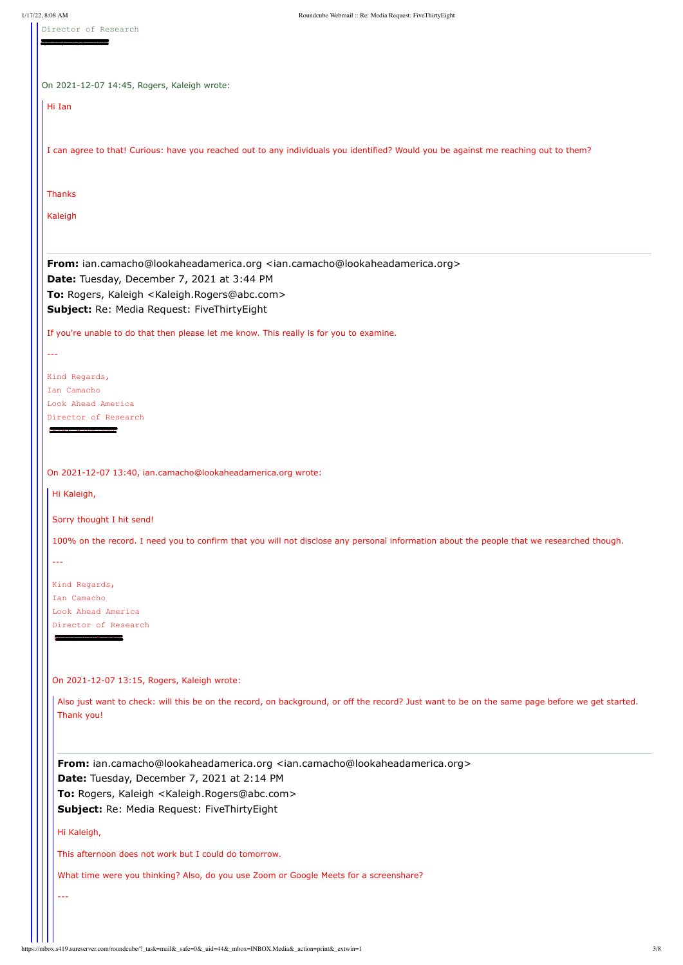https://mbox.s419.sureserver.com/roundcube/?\_task=mail&\_safe=0&\_uid=44&\_mbox=INBOX.Media&\_action=print&\_extwin=1 3/8

Director of Research

(424) 436-7990

|  | On 2021-12-07 14:45, Rogers, Kaleigh wrote: |  |  |  |  |
|--|---------------------------------------------|--|--|--|--|
|--|---------------------------------------------|--|--|--|--|

Hi Ian

**From:** ian.camacho@lookaheadamerica.org <ian.camacho@lookaheadamerica.org> **Date:** Tuesday, December 7, 2021 at 3:44 PM **To:** Rogers, Kaleigh <Kaleigh.Rogers@abc.com> **Subject:** Re: Media Request: FiveThirtyEight

I can agree to that! Curious: have you reached out to any individuals you identified? Would you be against me reaching out to them?

Thanks

Kaleigh

If you're unable to do that then please let me know. This really is for you to examine.

---

| Kind Regards,        |
|----------------------|
| Ian Camacho          |
| Look Ahead America   |
| Director of Research |

 $(424)$   $436 - 7990$ 

On 2021-12-07 13:40, ian.camacho@lookaheadamerica.org wrote:

Hi Kaleigh,

Sorry thought I hit send!

100% on the record. I need you to confirm that you will not disclose any personal information about the people that we researched though.

---

Kind Regards, Ian Camacho Look Ahead America Director of Research

 $\left( \frac{424}{7}, \frac{436}{7}, \frac{494}{7}\right)$ 

On 2021-12-07 13:15, Rogers, Kaleigh wrote:

Also just want to check: will this be on the record, on background, or off the record? Just want to be on the same page before we get started. Thank you!

**From:** ian.camacho@lookaheadamerica.org <ian.camacho@lookaheadamerica.org>

**Date:** Tuesday, December 7, 2021 at 2:14 PM

**To:** Rogers, Kaleigh <Kaleigh.Rogers@abc.com>

**Subject:** Re: Media Request: FiveThirtyEight

Hi Kaleigh,

This afternoon does not work but I could do tomorrow.

What time were you thinking? Also, do you use Zoom or Google Meets for a screenshare?

---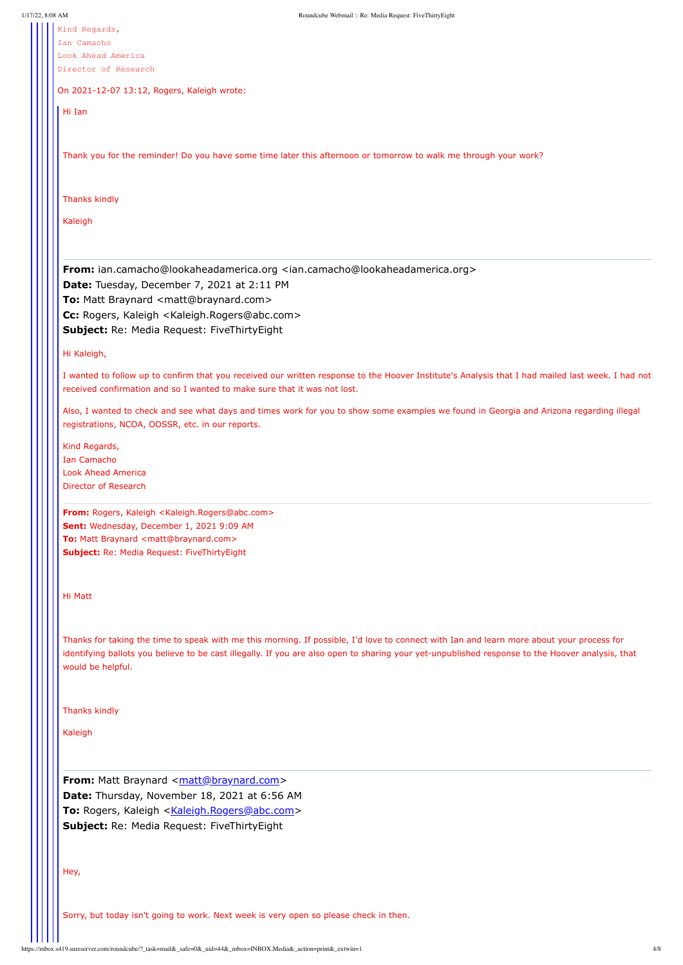https://mbox.s419.sureserver.com/roundcube/?\_task=mail&\_safe=0&\_uid=44&\_mbox=INBOX.Media&\_action=print&\_extwin=1 4/8

Kind Regards, Ian Camacho

Look Ahead America Director of Research

On 2021-12-07 13:12, Rogers, Kaleigh wrote:

Hi Ian

**From:** ian.camacho@lookaheadamerica.org <ian.camacho@lookaheadamerica.org> **Date:** Tuesday, December 7, 2021 at 2:11 PM **To: Matt Braynard <matt@braynard.com> Cc:** Rogers, Kaleigh <Kaleigh.Rogers@abc.com> **Subject:** Re: Media Request: FiveThirtyEight

Thank you for the reminder! Do you have some time later this afternoon or tomorrow to walk me through your work?

Thanks kindly

Kaleigh

Hi Kaleigh,

I wanted to follow up to confirm that you received our written response to the Hoover Institute's Analysis that I had mailed last week. I had not received confirmation and so I wanted to make sure that it was not lost.

Also, I wanted to check and see what days and times work for you to show some examples we found in Georgia and Arizona regarding illegal registrations, NCOA, OOSSR, etc. in our reports.

Kind Regards, Ian Camacho Look Ahead America Director of Research

**From:** Rogers, Kaleigh <Kaleigh.Rogers@abc.com> **Sent:** Wednesday, December 1, 2021 9:09 AM **To: Matt Braynard <matt@braynard.com> Subject:** Re: Media Request: FiveThirtyEight

Hi Matt

Thanks for taking the time to speak with me this morning. If possible, I'd love to connect with Ian and learn more about your process for identifying ballots you believe to be cast illegally. If you are also open to sharing your yet-unpublished response to the Hoover analysis, that would be helpful.

Thanks kindly

|  | Kaleigh                                                                               |  |  |  |
|--|---------------------------------------------------------------------------------------|--|--|--|
|  | From: Matt Braynard <matt@braynard.com></matt@braynard.com>                           |  |  |  |
|  | Date: Thursday, November 18, 2021 at 6:56 AM                                          |  |  |  |
|  | To: Rogers, Kaleigh <kaleigh.rogers@abc.com></kaleigh.rogers@abc.com>                 |  |  |  |
|  | Subject: Re: Media Request: FiveThirtyEight                                           |  |  |  |
|  |                                                                                       |  |  |  |
|  |                                                                                       |  |  |  |
|  | Hey,                                                                                  |  |  |  |
|  |                                                                                       |  |  |  |
|  |                                                                                       |  |  |  |
|  | Sorry, but today isn't going to work. Next week is very open so please check in then. |  |  |  |
|  |                                                                                       |  |  |  |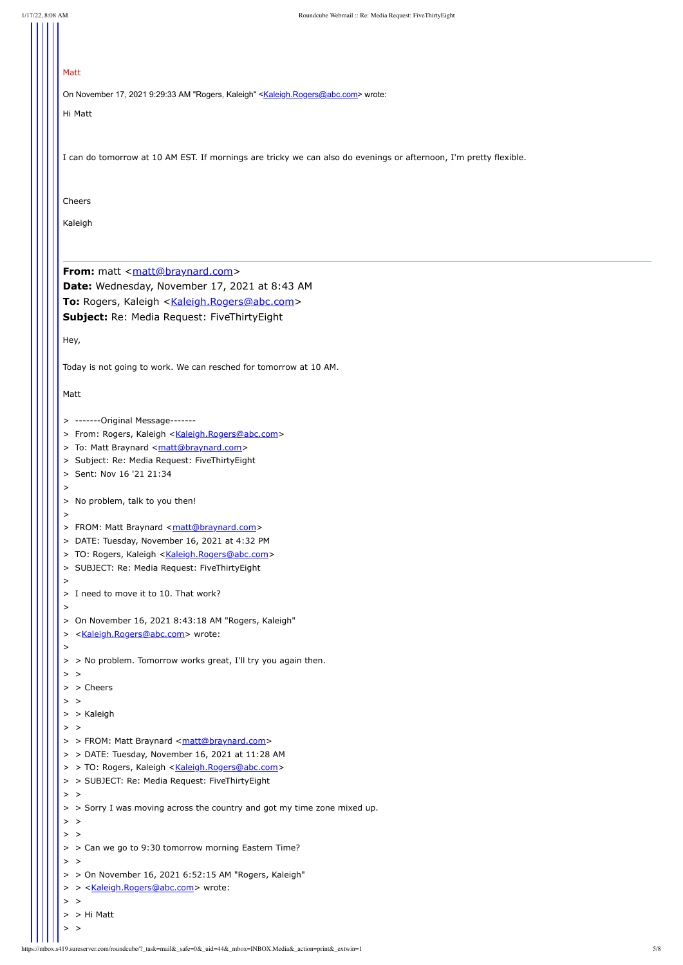### Matt

On November 17, 2021 9:29:33 AM "Rogers, Kaleigh" <[Kaleigh.Rogers@abc.com](mailto:Kaleigh.Rogers@abc.com)> wrote:

Hi Matt

**From:** matt <[matt@braynard.com](mailto:matt@braynard.com)> **Date:** Wednesday, November 17, 2021 at 8:43 AM To: Rogers, Kaleigh <[Kaleigh.Rogers@abc.com>](mailto:Kaleigh.Rogers@abc.com) **Subject:** Re: Media Request: FiveThirtyEight

I can do tomorrow at 10 AM EST. If mornings are tricky we can also do evenings or afternoon, I'm pretty flexible.

Cheers

Kaleigh

Hey,

Today is not going to work. We can resched for tomorrow at 10 AM.

Matt

- > > FROM: Matt Braynard [<matt@braynard.com>](mailto:matt@braynard.com)
- > > DATE: Tuesday, November 16, 2021 at 11:28 AM
- > > TO: Rogers, Kaleigh [<Kaleigh.Rogers@abc.com>](mailto:Kaleigh.Rogers@abc.com)
- > > SUBJECT: Re: Media Request: FiveThirtyEight

 $>$  >

- > > On November 16, 2021 6:52:15 AM "Rogers, Kaleigh"
- > > < Kaleigh.Rogers@abc.com > wrote:

 $>$  >

- > -------Original Message-------
- > From: Rogers, Kaleigh [<Kaleigh.Rogers@abc.com](mailto:Kaleigh.Rogers@abc.com)>
- > To: Matt Braynard [<matt@braynard.com](mailto:matt@braynard.com)>
- > Subject: Re: Media Request: FiveThirtyEight
- > Sent: Nov 16 '21 21:34
- $>$
- > No problem, talk to you then!
- $>$
- > FROM: Matt Braynard [<matt@braynard.com](mailto:matt@braynard.com)>
- > DATE: Tuesday, November 16, 2021 at 4:32 PM
- > TO: Rogers, Kaleigh [<Kaleigh.Rogers@abc.com](mailto:Kaleigh.Rogers@abc.com)>
- > SUBJECT: Re: Media Request: FiveThirtyEight
- > I need to move it to 10. That work?
- >

>

- > On November 16, 2021 8:43:18 AM "Rogers, Kaleigh"
- > <[Kaleigh.Rogers@abc.com>](mailto:Kaleigh.Rogers@abc.com) wrote:
- >
- > > No problem. Tomorrow works great, I'll try you again then.
- $>$  >
- > > Cheers
- $>$   $>$
- > > Kaleigh

 $>$  >

> > Sorry I was moving across the country and got my time zone mixed up.

## $>$  >

 $>$  >

> > Can we go to 9:30 tomorrow morning Eastern Time?

#### $>$   $>$

> > Hi Matt

 $>$  >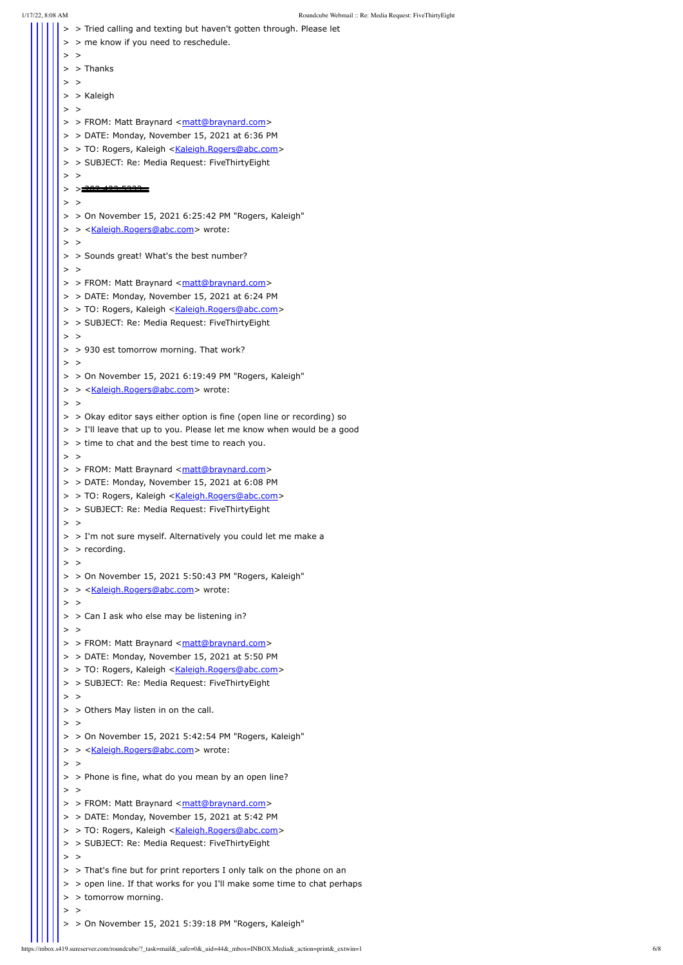1/17/22, 8:08 AM Roundcube Webmail :: Re: Media Request: FiveThirtyEight > > Tried calling and texting but haven't gotten through. Please let > > me know if you need to reschedule.  $>$  > > > Thanks  $>$   $>$ > > Kaleigh  $>$  > > > FROM: Matt Braynard [<matt@braynard.com>](mailto:matt@braynard.com) > > DATE: Monday, November 15, 2021 at 6:36 PM > > TO: Rogers, Kaleigh <[Kaleigh.Rogers@abc.com>](mailto:Kaleigh.Rogers@abc.com) > > SUBJECT: Re: Media Request: FiveThirtyEight  $>$   $>$ > > <del>202.423.5333.</del>  $>$  > > > On November 15, 2021 6:25:42 PM "Rogers, Kaleigh" > > < Kaleigh.Rogers@abc.com > wrote:  $>$   $>$ > > Sounds great! What's the best number?  $>$   $>$ > > FROM: Matt Braynard [<matt@braynard.com>](mailto:matt@braynard.com) > > DATE: Monday, November 15, 2021 at 6:24 PM > > TO: Rogers, Kaleigh <[Kaleigh.Rogers@abc.com>](mailto:Kaleigh.Rogers@abc.com) > > SUBJECT: Re: Media Request: FiveThirtyEight  $>$   $>$ > > 930 est tomorrow morning. That work?  $>$   $>$  $>$  > On November 15, 2021 6:19:49 PM "Rogers, Kaleigh" > > < Kaleigh.Rogers@abc.com > wrote:  $>$   $>$ > > Okay editor says either option is fine (open line or recording) so > > I'll leave that up to you. Please let me know when would be a good  $>$  > time to chat and the best time to reach you.  $>$  > > > FROM: Matt Braynard [<matt@braynard.com>](mailto:matt@braynard.com) > > DATE: Monday, November 15, 2021 at 6:08 PM > > TO: Rogers, Kaleigh <[Kaleigh.Rogers@abc.com>](mailto:Kaleigh.Rogers@abc.com) > > SUBJECT: Re: Media Request: FiveThirtyEight  $>$  > > > I'm not sure myself. Alternatively you could let me make a > > recording.  $>$  >  $>$  > On November 15, 2021 5:50:43 PM "Rogers, Kaleigh" > > <[Kaleigh.Rogers@abc.com>](mailto:Kaleigh.Rogers@abc.com) wrote:  $>$   $>$ > > Can I ask who else may be listening in?  $>$   $>$ > > FROM: Matt Braynard [<matt@braynard.com>](mailto:matt@braynard.com) > > DATE: Monday, November 15, 2021 at 5:50 PM > > TO: Rogers, Kaleigh <[Kaleigh.Rogers@abc.com>](mailto:Kaleigh.Rogers@abc.com) > > SUBJECT: Re: Media Request: FiveThirtyEight  $>$   $>$ 

- > > Others May listen in on the call.
- $>$  >
- > > On November 15, 2021 5:42:54 PM "Rogers, Kaleigh"
- > > <[Kaleigh.Rogers@abc.com>](mailto:Kaleigh.Rogers@abc.com) wrote:

## $>$  >

 $>$  > Phone is fine, what do you mean by an open line?

#### $>$  >

- > > FROM: Matt Braynard [<matt@braynard.com>](mailto:matt@braynard.com)
- > > DATE: Monday, November 15, 2021 at 5:42 PM
- > > TO: Rogers, Kaleigh <[Kaleigh.Rogers@abc.com>](mailto:Kaleigh.Rogers@abc.com)
- > > SUBJECT: Re: Media Request: FiveThirtyEight

- > > That's fine but for print reporters I only talk on the phone on an
- > > open line. If that works for you I'll make some time to chat perhaps
- > > tomorrow morning.
- $>$  >
- > > On November 15, 2021 5:39:18 PM "Rogers, Kaleigh"

 $>$  >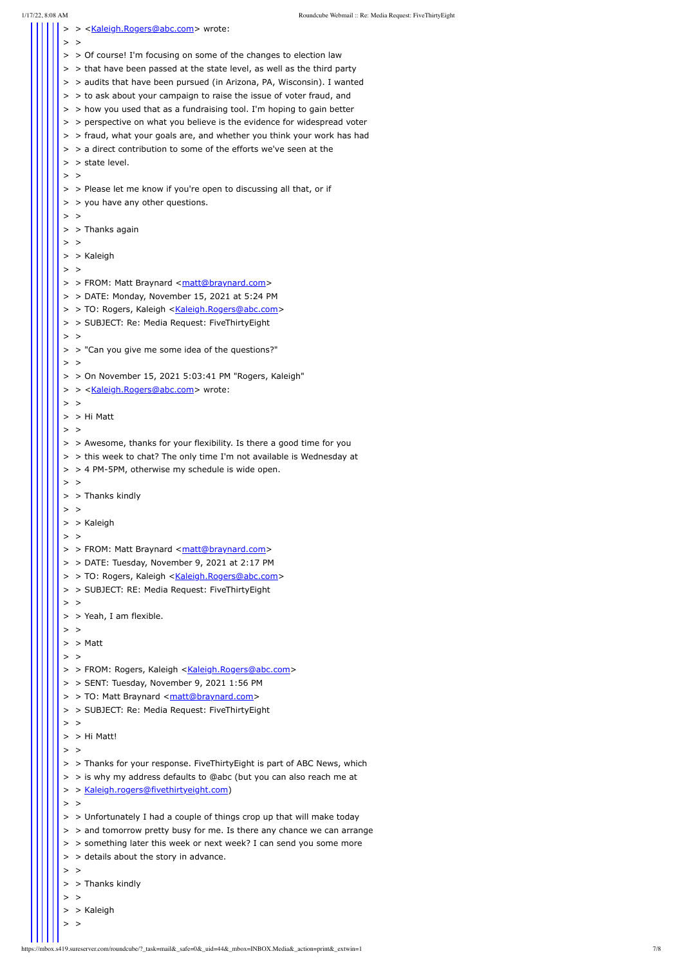1/17/22, 8:08 AM Roundcube Webmail :: Re: Media Request: FiveThirtyEight > > <[Kaleigh.Rogers@abc.com>](mailto:Kaleigh.Rogers@abc.com) wrote:  $>$  > > > Of course! I'm focusing on some of the changes to election law > > that have been passed at the state level, as well as the third party > > audits that have been pursued (in Arizona, PA, Wisconsin). I wanted > > to ask about your campaign to raise the issue of voter fraud, and > > how you used that as a fundraising tool. I'm hoping to gain better > > perspective on what you believe is the evidence for widespread voter > > fraud, what your goals are, and whether you think your work has had  $>$  > a direct contribution to some of the efforts we've seen at the > > state level.  $>$  > > > Please let me know if you're open to discussing all that, or if > > you have any other questions.  $>$   $>$ > > Thanks again  $>$   $>$ > > Kaleigh  $>$   $>$ > > FROM: Matt Braynard [<matt@braynard.com>](mailto:matt@braynard.com) > > DATE: Monday, November 15, 2021 at 5:24 PM > > TO: Rogers, Kaleigh [<Kaleigh.Rogers@abc.com>](mailto:Kaleigh.Rogers@abc.com) > > SUBJECT: Re: Media Request: FiveThirtyEight  $>$   $>$ > > "Can you give me some idea of the questions?"  $>$   $>$  $>$  > On November 15, 2021 5:03:41 PM "Rogers, Kaleigh" > > < Kaleigh.Rogers@abc.com > wrote:  $>$   $>$ > > Hi Matt  $>$   $>$ > > Awesome, thanks for your flexibility. Is there a good time for you > > this week to chat? The only time I'm not available is Wednesday at > > 4 PM-5PM, otherwise my schedule is wide open.  $>$   $>$ > > Thanks kindly  $>$   $>$ > > Kaleigh  $>$  > > > FROM: Matt Braynard [<matt@braynard.com>](mailto:matt@braynard.com) > > DATE: Tuesday, November 9, 2021 at 2:17 PM > > TO: Rogers, Kaleigh [<Kaleigh.Rogers@abc.com>](mailto:Kaleigh.Rogers@abc.com) > > SUBJECT: RE: Media Request: FiveThirtyEight  $>$  > > > Yeah, I am flexible.  $>$  > > > Matt  $>$  > > > FROM: Rogers, Kaleigh [<Kaleigh.Rogers@abc.com](mailto:Kaleigh.Rogers@abc.com)> > > SENT: Tuesday, November 9, 2021 1:56 PM > > TO: Matt Braynard <[matt@braynard.com](mailto:matt@braynard.com)> > > SUBJECT: Re: Media Request: FiveThirtyEight

- > > is why my address defaults to @abc (but you can also reach me at
- > > [Kaleigh.rogers@fivethirtyeight.com](mailto:Kaleigh.rogers@fivethirtyeight.com))
- $>$   $>$
- > > Unfortunately I had a couple of things crop up that will make today
- > > and tomorrow pretty busy for me. Is there any chance we can arrange
- > > something later this week or next week? I can send you some more
- > > details about the story in advance.
- $>$  >
- > > Thanks kindly
- $>$  >
- > > Kaleigh
- $>$  >

> > Hi Matt!

#### $>$  >

 $>$  >

> > Thanks for your response. FiveThirtyEight is part of ABC News, which